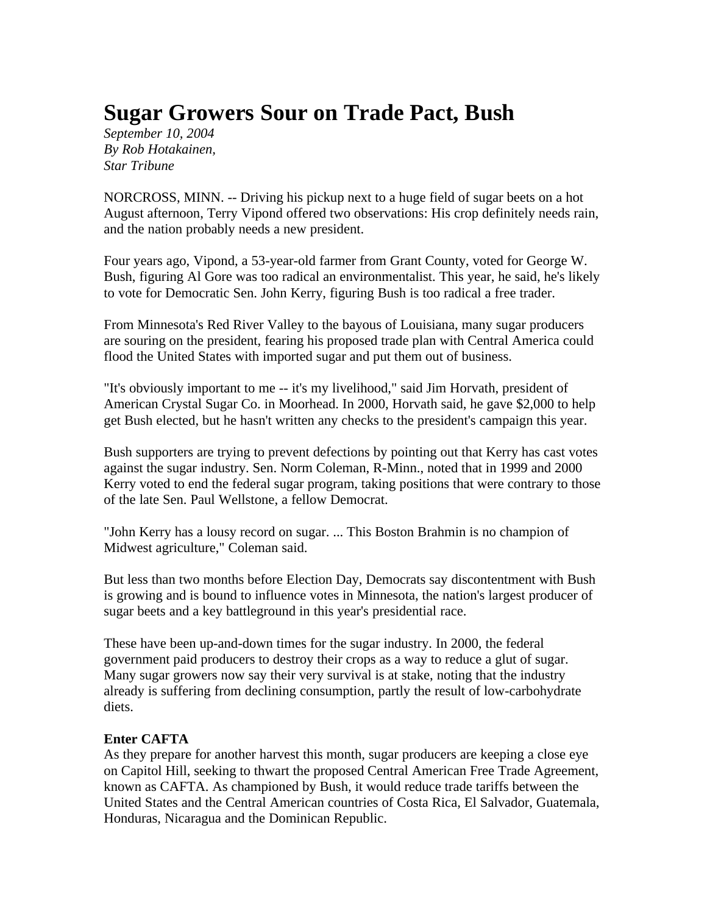## **Sugar Growers Sour on Trade Pact, Bush**

*September 10, 2004 By Rob Hotakainen, Star Tribune*

NORCROSS, MINN. -- Driving his pickup next to a huge field of sugar beets on a hot August afternoon, Terry Vipond offered two observations: His crop definitely needs rain, and the nation probably needs a new president.

Four years ago, Vipond, a 53-year-old farmer from Grant County, voted for George W. Bush, figuring Al Gore was too radical an environmentalist. This year, he said, he's likely to vote for Democratic Sen. John Kerry, figuring Bush is too radical a free trader.

From Minnesota's Red River Valley to the bayous of Louisiana, many sugar producers are souring on the president, fearing his proposed trade plan with Central America could flood the United States with imported sugar and put them out of business.

"It's obviously important to me -- it's my livelihood," said Jim Horvath, president of American Crystal Sugar Co. in Moorhead. In 2000, Horvath said, he gave \$2,000 to help get Bush elected, but he hasn't written any checks to the president's campaign this year.

Bush supporters are trying to prevent defections by pointing out that Kerry has cast votes against the sugar industry. Sen. Norm Coleman, R-Minn., noted that in 1999 and 2000 Kerry voted to end the federal sugar program, taking positions that were contrary to those of the late Sen. Paul Wellstone, a fellow Democrat.

"John Kerry has a lousy record on sugar. ... This Boston Brahmin is no champion of Midwest agriculture," Coleman said.

But less than two months before Election Day, Democrats say discontentment with Bush is growing and is bound to influence votes in Minnesota, the nation's largest producer of sugar beets and a key battleground in this year's presidential race.

These have been up-and-down times for the sugar industry. In 2000, the federal government paid producers to destroy their crops as a way to reduce a glut of sugar. Many sugar growers now say their very survival is at stake, noting that the industry already is suffering from declining consumption, partly the result of low-carbohydrate diets.

## **Enter CAFTA**

As they prepare for another harvest this month, sugar producers are keeping a close eye on Capitol Hill, seeking to thwart the proposed Central American Free Trade Agreement, known as CAFTA. As championed by Bush, it would reduce trade tariffs between the United States and the Central American countries of Costa Rica, El Salvador, Guatemala, Honduras, Nicaragua and the Dominican Republic.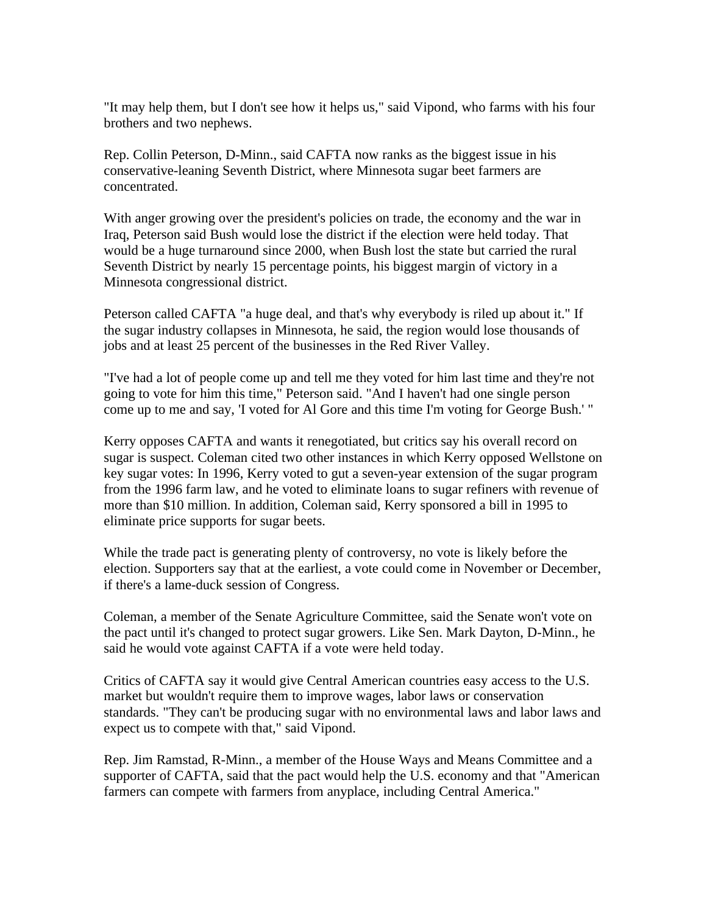"It may help them, but I don't see how it helps us," said Vipond, who farms with his four brothers and two nephews.

Rep. Collin Peterson, D-Minn., said CAFTA now ranks as the biggest issue in his conservative-leaning Seventh District, where Minnesota sugar beet farmers are concentrated.

With anger growing over the president's policies on trade, the economy and the war in Iraq, Peterson said Bush would lose the district if the election were held today. That would be a huge turnaround since 2000, when Bush lost the state but carried the rural Seventh District by nearly 15 percentage points, his biggest margin of victory in a Minnesota congressional district.

Peterson called CAFTA "a huge deal, and that's why everybody is riled up about it." If the sugar industry collapses in Minnesota, he said, the region would lose thousands of jobs and at least 25 percent of the businesses in the Red River Valley.

"I've had a lot of people come up and tell me they voted for him last time and they're not going to vote for him this time," Peterson said. "And I haven't had one single person come up to me and say, 'I voted for Al Gore and this time I'm voting for George Bush.' "

Kerry opposes CAFTA and wants it renegotiated, but critics say his overall record on sugar is suspect. Coleman cited two other instances in which Kerry opposed Wellstone on key sugar votes: In 1996, Kerry voted to gut a seven-year extension of the sugar program from the 1996 farm law, and he voted to eliminate loans to sugar refiners with revenue of more than \$10 million. In addition, Coleman said, Kerry sponsored a bill in 1995 to eliminate price supports for sugar beets.

While the trade pact is generating plenty of controversy, no vote is likely before the election. Supporters say that at the earliest, a vote could come in November or December, if there's a lame-duck session of Congress.

Coleman, a member of the Senate Agriculture Committee, said the Senate won't vote on the pact until it's changed to protect sugar growers. Like Sen. Mark Dayton, D-Minn., he said he would vote against CAFTA if a vote were held today.

Critics of CAFTA say it would give Central American countries easy access to the U.S. market but wouldn't require them to improve wages, labor laws or conservation standards. "They can't be producing sugar with no environmental laws and labor laws and expect us to compete with that," said Vipond.

Rep. Jim Ramstad, R-Minn., a member of the House Ways and Means Committee and a supporter of CAFTA, said that the pact would help the U.S. economy and that "American farmers can compete with farmers from anyplace, including Central America."